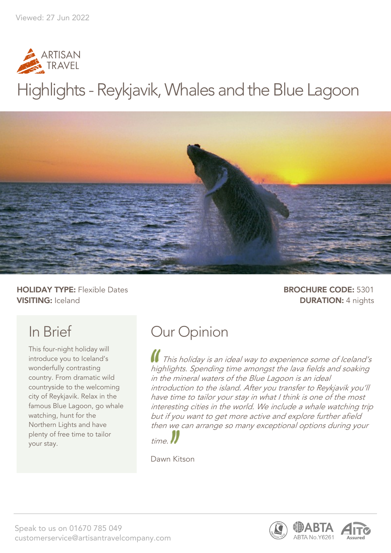

# Highlights - Reykjavik, Whales and the Blue Lagoon



**HOLIDAY TYPE:** Flexible Dates **BROCHURE CODE:** 5301 **VISITING:** Iceland **DURATION:** 4 nights

## In Brief

This four-night holiday will introduce you to Iceland's wonderfully contrasting country. From dramatic wild countryside to the welcoming city of Reykjavik. Relax in the famous Blue Lagoon, go whale watching, hunt for the Northern Lights and have plenty of free time to tailor your stay.

## Our Opinion

This holiday is an ideal way to experience some of Iceland's highlights. Spending time amongst the lava fields and soaking in the mineral waters of the Blue Lagoon is an ideal introduction to the island. After you transfer to Reykjavik you'll have time to tailor your stay in what I think is one of the most interesting cities in the world. We include a whale watching trip but if you want to get more active and explore further afield then we can arrange so many exceptional options during your



Dawn Kitson

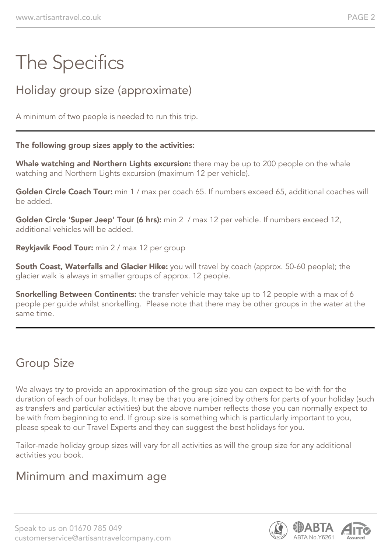# The Specifics

### Holiday group size (approximate)

A minimum of two people is needed to run this trip.

#### The following group sizes apply to the activities:

Whale watching and Northern Lights excursion: there may be up to 200 people on the whale watching and Northern Lights excursion (maximum 12 per vehicle).

Golden Circle Coach Tour: min 1 / max per coach 65. If numbers exceed 65, additional coaches will be added.

Golden Circle 'Super Jeep' Tour (6 hrs): min 2 / max 12 per vehicle. If numbers exceed 12, additional vehicles will be added.

Reykjavik Food Tour: min 2 / max 12 per group

South Coast, Waterfalls and Glacier Hike: you will travel by coach (approx. 50-60 people); the glacier walk is always in smaller groups of approx. 12 people.

**Snorkelling Between Continents:** the transfer vehicle may take up to 12 people with a max of 6 people per guide whilst snorkelling. Please note that there may be other groups in the water at the same time.

### Group Size

We always try to provide an approximation of the group size you can expect to be with for the duration of each of our holidays. It may be that you are joined by others for parts of your holiday (such as transfers and particular activities) but the above number reflects those you can normally expect to be with from beginning to end. If group size is something which is particularly important to you, please speak to our Travel Experts and they can suggest the best holidays for you.

Tailor-made holiday group sizes will vary for all activities as will the group size for any additional activities you book.

#### Minimum and maximum age

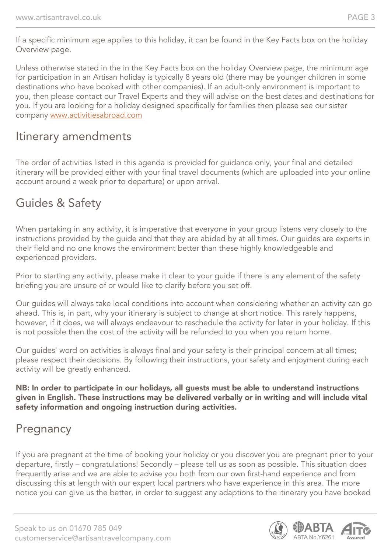If a specific minimum age applies to this holiday, it can be found in the Key Facts box on the holiday Overview page.

Unless otherwise stated in the in the Key Facts box on the holiday Overview page, the minimum age for participation in an Artisan holiday is typically 8 years old (there may be younger children in some destinations who have booked with other companies). If an adult-only environment is important to you, then please contact our Travel Experts and they will advise on the best dates and destinations for you. If you are looking for a holiday designed specifically for families then please see our sister company [www.activitiesabroad.com](http://www.activitiesabroad.com/)

#### Itinerary amendments

The order of activities listed in this agenda is provided for guidance only, your final and detailed itinerary will be provided either with your final travel documents (which are uploaded into your online account around a week prior to departure) or upon arrival.

#### Guides & Safety

When partaking in any activity, it is imperative that everyone in your group listens very closely to the instructions provided by the guide and that they are abided by at all times. Our guides are experts in their field and no one knows the environment better than these highly knowledgeable and experienced providers.

Prior to starting any activity, please make it clear to your guide if there is any element of the safety briefing you are unsure of or would like to clarify before you set off.

Our guides will always take local conditions into account when considering whether an activity can go ahead. This is, in part, why your itinerary is subject to change at short notice. This rarely happens, however, if it does, we will always endeavour to reschedule the activity for later in your holiday. If this is not possible then the cost of the activity will be refunded to you when you return home.

Our guides' word on activities is always final and your safety is their principal concern at all times; please respect their decisions. By following their instructions, your safety and enjoyment during each activity will be greatly enhanced.

#### NB: In order to participate in our holidays, all guests must be able to understand instructions given in English. These instructions may be delivered verbally or in writing and will include vital safety information and ongoing instruction during activities.

#### **Pregnancy**

If you are pregnant at the time of booking your holiday or you discover you are pregnant prior to your departure, firstly – congratulations! Secondly – please tell us as soon as possible. This situation does frequently arise and we are able to advise you both from our own first-hand experience and from discussing this at length with our expert local partners who have experience in this area. The more notice you can give us the better, in order to suggest any adaptions to the itinerary you have booked

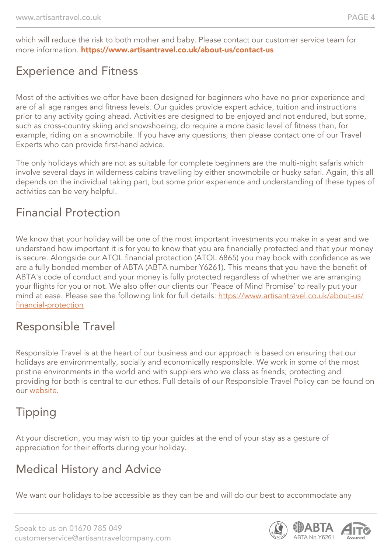which will reduce the risk to both mother and baby. Please contact our customer service team for more information. <https://www.artisantravel.co.uk/about-us/contact-us>

### Experience and Fitness

Most of the activities we offer have been designed for beginners who have no prior experience and are of all age ranges and fitness levels. Our guides provide expert advice, tuition and instructions prior to any activity going ahead. Activities are designed to be enjoyed and not endured, but some, such as cross-country skiing and snowshoeing, do require a more basic level of fitness than, for example, riding on a snowmobile. If you have any questions, then please contact one of our Travel Experts who can provide first-hand advice.

The only holidays which are not as suitable for complete beginners are the multi-night safaris which involve several days in wilderness cabins travelling by either snowmobile or husky safari. Again, this all depends on the individual taking part, but some prior experience and understanding of these types of activities can be very helpful.

#### Financial Protection

We know that your holiday will be one of the most important investments you make in a year and we understand how important it is for you to know that you are financially protected and that your money is secure. Alongside our ATOL financial protection (ATOL 6865) you may book with confidence as we are a fully bonded member of ABTA (ABTA number Y6261). This means that you have the benefit of ABTA's code of conduct and your money is fully protected regardless of whether we are arranging your flights for you or not. We also offer our clients our 'Peace of Mind Promise' to really put your mind at ease. Please see the following link for full details: [https://www.artisantravel.co.uk/about-us/](/data/web/artisantravel.co.uk/about-us/financial-protection) [financial-protection](/data/web/artisantravel.co.uk/about-us/financial-protection)

### Responsible Travel

Responsible Travel is at the heart of our business and our approach is based on ensuring that our holidays are environmentally, socially and economically responsible. We work in some of the most pristine environments in the world and with suppliers who we class as friends; protecting and providing for both is central to our ethos. Full details of our Responsible Travel Policy can be found on our [website](https://www.artisantravel.co.uk/about-us/responsible-travel).

### Tipping

At your discretion, you may wish to tip your guides at the end of your stay as a gesture of appreciation for their efforts during your holiday.

### Medical History and Advice

We want our holidays to be accessible as they can be and will do our best to accommodate any

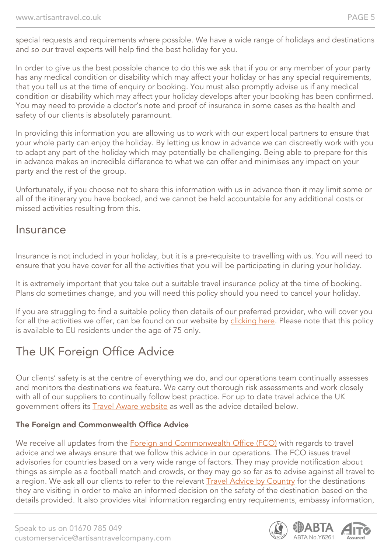special requests and requirements where possible. We have a wide range of holidays and destinations and so our travel experts will help find the best holiday for you.

In order to give us the best possible chance to do this we ask that if you or any member of your party has any medical condition or disability which may affect your holiday or has any special requirements, that you tell us at the time of enquiry or booking. You must also promptly advise us if any medical condition or disability which may affect your holiday develops after your booking has been confirmed. You may need to provide a doctor's note and proof of insurance in some cases as the health and safety of our clients is absolutely paramount.

In providing this information you are allowing us to work with our expert local partners to ensure that your whole party can enjoy the holiday. By letting us know in advance we can discreetly work with you to adapt any part of the holiday which may potentially be challenging. Being able to prepare for this in advance makes an incredible difference to what we can offer and minimises any impact on your party and the rest of the group.

Unfortunately, if you choose not to share this information with us in advance then it may limit some or all of the itinerary you have booked, and we cannot be held accountable for any additional costs or missed activities resulting from this.

#### Insurance

Insurance is not included in your holiday, but it is a pre-requisite to travelling with us. You will need to ensure that you have cover for all the activities that you will be participating in during your holiday.

It is extremely important that you take out a suitable travel insurance policy at the time of booking. Plans do sometimes change, and you will need this policy should you need to cancel your holiday.

If you are struggling to find a suitable policy then details of our preferred provider, who will cover you for all the activities we offer, can be found on our website by [clicking here](https://www.artisantravel.co.uk/about-us/trip-preparation/item/54-insurance). Please note that this policy is available to EU residents under the age of 75 only.

### The UK Foreign Office Advice

Our clients' safety is at the centre of everything we do, and our operations team continually assesses and monitors the destinations we feature. We carry out thorough risk assessments and work closely with all of our suppliers to continually follow best practice. For up to date travel advice the UK government offers its [Travel Aware website](https://travelaware.campaign.gov.uk/) as well as the advice detailed below.

#### The Foreign and Commonwealth Office Advice

We receive all updates from the **[Foreign and Commonwealth Office \(FCO\)](https://www.gov.uk/government/organisations/foreign-commonwealth-office)** with regards to travel advice and we always ensure that we follow this advice in our operations. The FCO issues travel advisories for countries based on a very wide range of factors. They may provide notification about things as simple as a football match and crowds, or they may go so far as to advise against all travel to a region. We ask all our clients to refer to the relevant [Travel Advice by Country](https://www.gov.uk/foreign-travel-advice) for the destinations they are visiting in order to make an informed decision on the safety of the destination based on the details provided. It also provides vital information regarding entry requirements, embassy information,

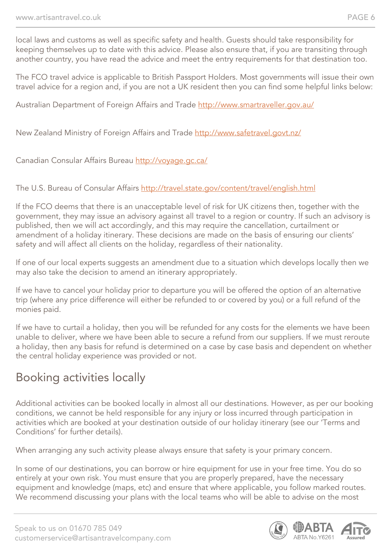local laws and customs as well as specific safety and health. Guests should take responsibility for keeping themselves up to date with this advice. Please also ensure that, if you are transiting through another country, you have read the advice and meet the entry requirements for that destination too.

The FCO travel advice is applicable to British Passport Holders. Most governments will issue their own travel advice for a region and, if you are not a UK resident then you can find some helpful links below:

Australian Department of Foreign Affairs and Trade <http://www.smartraveller.gov.au/>

New Zealand Ministry of Foreign Affairs and Trade <http://www.safetravel.govt.nz/>

Canadian Consular Affairs Bureau <http://voyage.gc.ca/>

#### The U.S. Bureau of Consular Affairs <http://travel.state.gov/content/travel/english.html>

If the FCO deems that there is an unacceptable level of risk for UK citizens then, together with the government, they may issue an advisory against all travel to a region or country. If such an advisory is published, then we will act accordingly, and this may require the cancellation, curtailment or amendment of a holiday itinerary. These decisions are made on the basis of ensuring our clients' safety and will affect all clients on the holiday, regardless of their nationality.

If one of our local experts suggests an amendment due to a situation which develops locally then we may also take the decision to amend an itinerary appropriately.

If we have to cancel your holiday prior to departure you will be offered the option of an alternative trip (where any price difference will either be refunded to or covered by you) or a full refund of the monies paid.

If we have to curtail a holiday, then you will be refunded for any costs for the elements we have been unable to deliver, where we have been able to secure a refund from our suppliers. If we must reroute a holiday, then any basis for refund is determined on a case by case basis and dependent on whether the central holiday experience was provided or not.

### Booking activities locally

Additional activities can be booked locally in almost all our destinations. However, as per our booking conditions, we cannot be held responsible for any injury or loss incurred through participation in activities which are booked at your destination outside of our holiday itinerary (see our 'Terms and Conditions' for further details).

When arranging any such activity please always ensure that safety is your primary concern.

In some of our destinations, you can borrow or hire equipment for use in your free time. You do so entirely at your own risk. You must ensure that you are properly prepared, have the necessary equipment and knowledge (maps, etc) and ensure that where applicable, you follow marked routes. We recommend discussing your plans with the local teams who will be able to advise on the most



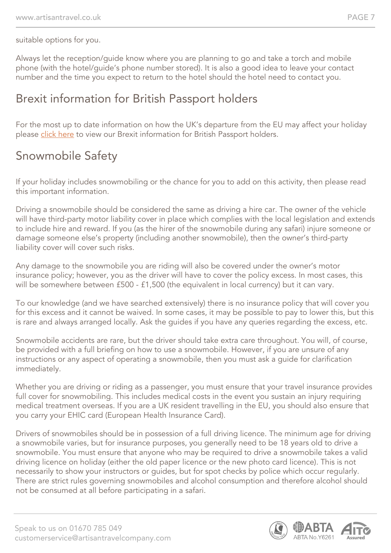suitable options for you.

Always let the reception/guide know where you are planning to go and take a torch and mobile phone (with the hotel/guide's phone number stored). It is also a good idea to leave your contact number and the time you expect to return to the hotel should the hotel need to contact you.

#### Brexit information for British Passport holders

For the most up to date information on how the UK's departure from the EU may affect your holiday please [click here](https://www.artisantravel.co.uk/our-brexit-guarantee) to view our Brexit information for British Passport holders.

#### Snowmobile Safety

If your holiday includes snowmobiling or the chance for you to add on this activity, then please read this important information.

Driving a snowmobile should be considered the same as driving a hire car. The owner of the vehicle will have third-party motor liability cover in place which complies with the local legislation and extends to include hire and reward. If you (as the hirer of the snowmobile during any safari) injure someone or damage someone else's property (including another snowmobile), then the owner's third-party liability cover will cover such risks.

Any damage to the snowmobile you are riding will also be covered under the owner's motor insurance policy; however, you as the driver will have to cover the policy excess. In most cases, this will be somewhere between £500 - £1,500 (the equivalent in local currency) but it can vary.

To our knowledge (and we have searched extensively) there is no insurance policy that will cover you for this excess and it cannot be waived. In some cases, it may be possible to pay to lower this, but this is rare and always arranged locally. Ask the guides if you have any queries regarding the excess, etc.

Snowmobile accidents are rare, but the driver should take extra care throughout. You will, of course, be provided with a full briefing on how to use a snowmobile. However, if you are unsure of any instructions or any aspect of operating a snowmobile, then you must ask a guide for clarification immediately.

Whether you are driving or riding as a passenger, you must ensure that your travel insurance provides full cover for snowmobiling. This includes medical costs in the event you sustain an injury requiring medical treatment overseas. If you are a UK resident travelling in the EU, you should also ensure that you carry your EHIC card (European Health Insurance Card).

Drivers of snowmobiles should be in possession of a full driving licence. The minimum age for driving a snowmobile varies, but for insurance purposes, you generally need to be 18 years old to drive a snowmobile. You must ensure that anyone who may be required to drive a snowmobile takes a valid driving licence on holiday (either the old paper licence or the new photo card licence). This is not necessarily to show your instructors or guides, but for spot checks by police which occur regularly. There are strict rules governing snowmobiles and alcohol consumption and therefore alcohol should not be consumed at all before participating in a safari.

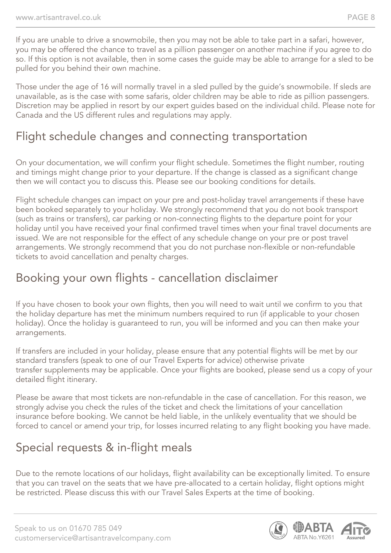If you are unable to drive a snowmobile, then you may not be able to take part in a safari, however, you may be offered the chance to travel as a pillion passenger on another machine if you agree to do so. If this option is not available, then in some cases the guide may be able to arrange for a sled to be pulled for you behind their own machine.

Those under the age of 16 will normally travel in a sled pulled by the guide's snowmobile. If sleds are unavailable, as is the case with some safaris, older children may be able to ride as pillion passengers. Discretion may be applied in resort by our expert guides based on the individual child. Please note for Canada and the US different rules and regulations may apply.

#### Flight schedule changes and connecting transportation

On your documentation, we will confirm your flight schedule. Sometimes the flight number, routing and timings might change prior to your departure. If the change is classed as a significant change then we will contact you to discuss this. Please see our booking conditions for details.

Flight schedule changes can impact on your pre and post-holiday travel arrangements if these have been booked separately to your holiday. We strongly recommend that you do not book transport (such as trains or transfers), car parking or non-connecting flights to the departure point for your holiday until you have received your final confirmed travel times when your final travel documents are issued. We are not responsible for the effect of any schedule change on your pre or post travel arrangements. We strongly recommend that you do not purchase non-flexible or non-refundable tickets to avoid cancellation and penalty charges.

#### Booking your own flights - cancellation disclaimer

If you have chosen to book your own flights, then you will need to wait until we confirm to you that the holiday departure has met the minimum numbers required to run (if applicable to your chosen holiday). Once the holiday is guaranteed to run, you will be informed and you can then make your arrangements.

If transfers are included in your holiday, please ensure that any potential flights will be met by our standard transfers (speak to one of our Travel Experts for advice) otherwise private transfer supplements may be applicable. Once your flights are booked, please send us a copy of your detailed flight itinerary.

Please be aware that most tickets are non-refundable in the case of cancellation. For this reason, we strongly advise you check the rules of the ticket and check the limitations of your cancellation insurance before booking. We cannot be held liable, in the unlikely eventuality that we should be forced to cancel or amend your trip, for losses incurred relating to any flight booking you have made.

### Special requests & in-flight meals

Due to the remote locations of our holidays, flight availability can be exceptionally limited. To ensure that you can travel on the seats that we have pre-allocated to a certain holiday, flight options might be restricted. Please discuss this with our Travel Sales Experts at the time of booking.

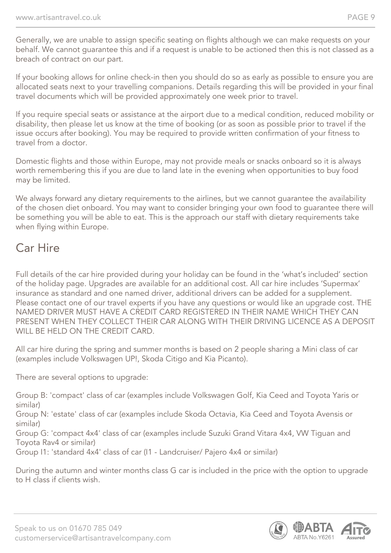Generally, we are unable to assign specific seating on flights although we can make requests on your behalf. We cannot guarantee this and if a request is unable to be actioned then this is not classed as a breach of contract on our part.

If your booking allows for online check-in then you should do so as early as possible to ensure you are allocated seats next to your travelling companions. Details regarding this will be provided in your final travel documents which will be provided approximately one week prior to travel.

If you require special seats or assistance at the airport due to a medical condition, reduced mobility or disability, then please let us know at the time of booking (or as soon as possible prior to travel if the issue occurs after booking). You may be required to provide written confirmation of your fitness to travel from a doctor.

Domestic flights and those within Europe, may not provide meals or snacks onboard so it is always worth remembering this if you are due to land late in the evening when opportunities to buy food may be limited.

We always forward any dietary requirements to the airlines, but we cannot quarantee the availability of the chosen diet onboard. You may want to consider bringing your own food to guarantee there will be something you will be able to eat. This is the approach our staff with dietary requirements take when flying within Europe.

#### Car Hire

Full details of the car hire provided during your holiday can be found in the 'what's included' section of the holiday page. Upgrades are available for an additional cost. All car hire includes 'Supermax' insurance as standard and one named driver, additional drivers can be added for a supplement. Please contact one of our travel experts if you have any questions or would like an upgrade cost. THE NAMED DRIVER MUST HAVE A CREDIT CARD REGISTERED IN THEIR NAME WHICH THEY CAN PRESENT WHEN THEY COLLECT THEIR CAR ALONG WITH THEIR DRIVING LICENCE AS A DEPOSIT WILL BE HELD ON THE CREDIT CARD.

All car hire during the spring and summer months is based on 2 people sharing a Mini class of car (examples include Volkswagen UP!, Skoda Citigo and Kia Picanto).

There are several options to upgrade:

Group B: 'compact' class of car (examples include Volkswagen Golf, Kia Ceed and Toyota Yaris or similar)

Group N: 'estate' class of car (examples include Skoda Octavia, Kia Ceed and Toyota Avensis or similar)

Group G: 'compact 4x4' class of car (examples include Suzuki Grand Vitara 4x4, VW Tiguan and Toyota Rav4 or similar)

Group I1: 'standard 4x4' class of car (I1 - Landcruiser/ Pajero 4x4 or similar)

During the autumn and winter months class G car is included in the price with the option to upgrade to H class if clients wish.